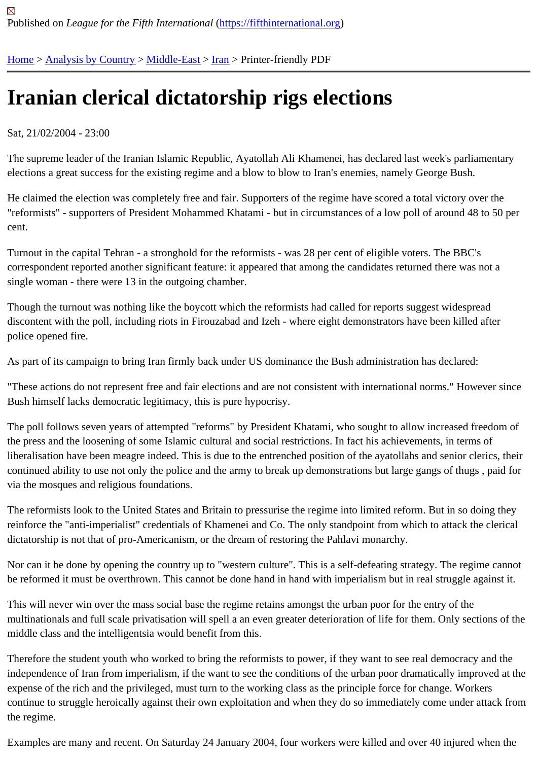## [Iran](https://fifthinternational.org/)[ian clerica](https://fifthinternational.org/category/1)[l dictat](https://fifthinternational.org/category/1/178)[ors](https://fifthinternational.org/category/1/178/182)hip rigs elections

## Sat, 21/02/2004 - 23:00

The supreme leader of the Iranian Islamic Republic, Ayatollah Ali Khamenei, has declared last week's parliamentary elections a great success for the existing regime and a blow to blow to Iran's enemies, namely George Bush.

He claimed the election was completely free and fair. Supporters of the regime have scored a total victory over the "reformists" - supporters of President Mohammed Khatami - but in circumstances of a low poll of around 48 to 50 p cent.

Turnout in the capital Tehran - a stronghold for the reformists - was 28 per cent of eligible voters. The BBC's correspondent reported another significant feature: it appeared that among the candidates returned there was not single woman - there were 13 in the outgoing chamber.

Though the turnout was nothing like the boycott which the reformists had called for reports suggest widespread discontent with the poll, including riots in Firouzabad and Izeh - where eight demonstrators have been killed after police opened fire.

As part of its campaign to bring Iran firmly back under US dominance the Bush administration has declared:

"These actions do not represent free and fair elections and are not consistent with international norms." However s Bush himself lacks democratic legitimacy, this is pure hypocrisy.

The poll follows seven years of attempted "reforms" by President Khatami, who sought to allow increased freedom the press and the loosening of some Islamic cultural and social restrictions. In fact his achievements, in terms of liberalisation have been meagre indeed. This is due to the entrenched position of the ayatollahs and senior clerics continued ability to use not only the police and the army to break up demonstrations but large gangs of thugs, pai via the mosques and religious foundations.

The reformists look to the United States and Britain to pressurise the regime into limited reform. But in so doing the reinforce the "anti-imperialist" credentials of Khamenei and Co. The only standpoint from which to attack the cleric dictatorship is not that of pro-Americanism, or the dream of restoring the Pahlavi monarchy.

Nor can it be done by opening the country up to "western culture". This is a self-defeating strategy. The regime cai be reformed it must be overthrown. This cannot be done hand in hand with imperialism but in real struggle against

This will never win over the mass social base the regime retains amongst the urban poor for the entry of the multinationals and full scale privatisation will spell a an even greater deterioration of life for them. Only sections of middle class and the intelligentsia would benefit from this.

Therefore the student youth who worked to bring the reformists to power, if they want to see real democracy and the independence of Iran from imperialism, if the want to see the conditions of the urban poor dramatically improved a expense of the rich and the privileged, must turn to the working class as the principle force for change. Workers continue to struggle heroically against their own exploitation and when they do so immediately come under attack the regime.

Examples are many and recent. On Saturday 24 January 2004, four workers were killed and over 40 injured when